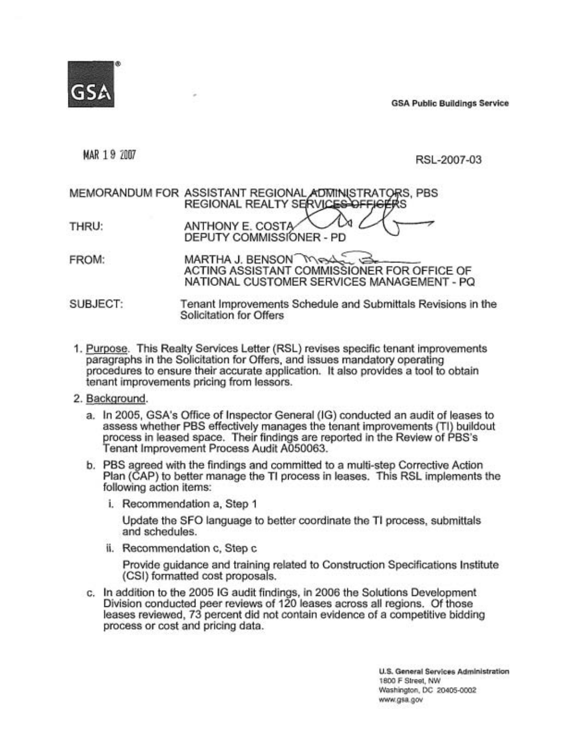

GSA **Public Buildings** Service

**MAR 19 2007** RSL-2007-03

# MEMORANDUM FOR ASSISTANT REGION REGIONAL REALTY SERVICES OFFICE THRU: ANTHONY E. COSTA DEPUTY COMMISSIONER - PD

 $FROM:$  MARTHA J. BENSON  $M \rightarrow \infty$ ACTING ASSISTANT COMMISSIONER FOR OFFICE OF NATIONAL CUSTOMER SERVICES MANAGEMENT - PQ

SUBJECT: Tenant Improvements Schedule and Submittals Revisions in the Solicitation for Offers

- 1. Purpose. This Realty Services Letter (RSL) revises specific tenant improvements paragraphs in the Solicitation for Offers, and issues mandatory operating 'procedires to ensure their accurate application. It also providks'a tool **6**obtain tenant improvements pricing from lessors.
- 2. Background.
	- a. In 2005, GSA's Office of Inspector General (IG) conducted an audit of leases to assess whether PBS effectively manages the tenant improvements (TI) buildout process in leased space. Their findings are reported in the Review of PBS's Tenant Improvement Process Audit A050063.
	- b. PBS agreed with the findings and committed to a multi-step Corrective Action Plan (CAP) to better manage the TI process in leases. This RSL implements the following action items:
		- i. Recommendation a, Step 1

Update the SF0 language to better coordinate the TI process, submittals and schedules.

ii. Recommendation c, Step c

Provide guidance and training related to Construction Specifications Institute (CSI) formatted cost proposals.

c. In addition to the 2005 IG audit findings, in 2006 the Solutions Development Division conducted peer reviews of 120 leases across all regions. Of those leases reviewed, 73 percent did not contain evidence of a competitive bidding process or cost and pricing data.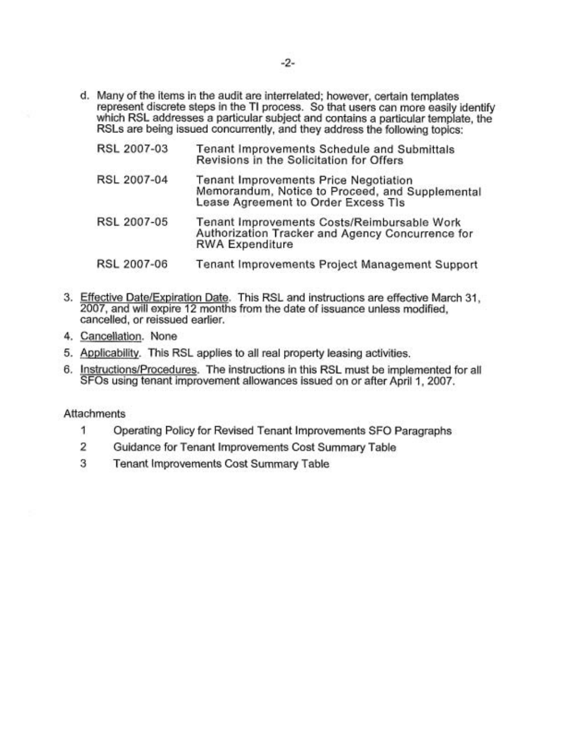- d. Many of the items in the audit are interrelated; however, certain templates represent discrete steps in the TI process. So that users can more easily identify which RSL addresses a particular subject and contains a particular template, the RSLs are being issued concurrently, and they address the following topics:
	- RSL 2007-03 Tenant Improvements Schedule and Submittals Revisions in the Solicitation for Offers RSL 2007-04 Tenant Improvements Price Negotiation Memorandum, Notice to Proceed, and Supplemental Lease Agreement to Order Excess Tls RSL 2007-05 Tenant Improvements Costs/Reimbursable Work Authorization Tracker and Agency Concurrence for RWA Expenditure

# RSL 2007-06 Tenant Improvements Project Management Support

- 3. Effective Date/Expiration Date. This RSL and instructions are effective March 31, 2007, and will expire 12 months from the date of issuance unless modified, cancelled, or reissued earlier.
- **4.** Cancellation. None
- 5. Applicability. This RSL applies to all real property leasing activities.
- 6. Instructions/Procedures. The instructions in this RSL must be implemented for all SFOs using tenant improvement allowances issued on or after April 1, 2007.

# **Attachments**

- 1 Operating Policy for Revised Tenant Improvements SF0 Paragraphs
- 2 Guidance for Tenant Improvements Cost Summary Table
- 3 Tenant Improvements Cost Summary Table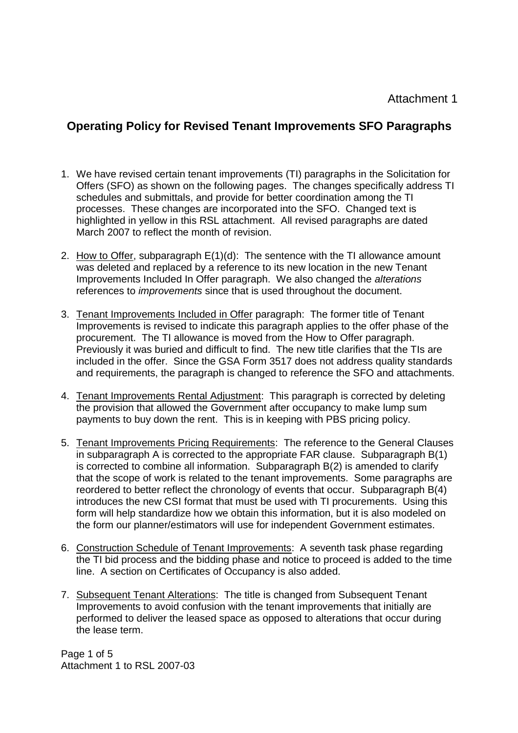# **Operating Policy for Revised Tenant Improvements SFO Paragraphs**

- 1. We have revised certain tenant improvements (TI) paragraphs in the Solicitation for Offers (SFO) as shown on the following pages. The changes specifically address TI schedules and submittals, and provide for better coordination among the TI processes. These changes are incorporated into the SFO. Changed text is highlighted in yellow in this RSL attachment. All revised paragraphs are dated March 2007 to reflect the month of revision.
- 2. How to Offer, subparagraph E(1)(d): The sentence with the TI allowance amount was deleted and replaced by a reference to its new location in the new Tenant Improvements Included In Offer paragraph. We also changed the *alterations* references to *improvements* since that is used throughout the document.
- 3. Tenant Improvements Included in Offer paragraph: The former title of Tenant Improvements is revised to indicate this paragraph applies to the offer phase of the procurement. The TI allowance is moved from the How to Offer paragraph. Previously it was buried and difficult to find. The new title clarifies that the TIs are included in the offer. Since the GSA Form 3517 does not address quality standards and requirements, the paragraph is changed to reference the SFO and attachments.
- 4. Tenant Improvements Rental Adjustment: This paragraph is corrected by deleting the provision that allowed the Government after occupancy to make lump sum payments to buy down the rent. This is in keeping with PBS pricing policy.
- 5. Tenant Improvements Pricing Requirements: The reference to the General Clauses in subparagraph A is corrected to the appropriate FAR clause. Subparagraph B(1) is corrected to combine all information. Subparagraph B(2) is amended to clarify that the scope of work is related to the tenant improvements. Some paragraphs are reordered to better reflect the chronology of events that occur. Subparagraph B(4) introduces the new CSI format that must be used with TI procurements. Using this form will help standardize how we obtain this information, but it is also modeled on the form our planner/estimators will use for independent Government estimates.
- 6. Construction Schedule of Tenant Improvements: A seventh task phase regarding the TI bid process and the bidding phase and notice to proceed is added to the time line. A section on Certificates of Occupancy is also added.
- 7. Subsequent Tenant Alterations: The title is changed from Subsequent Tenant Improvements to avoid confusion with the tenant improvements that initially are performed to deliver the leased space as opposed to alterations that occur during the lease term.

Page 1 of 5 Attachment 1 to RSL 2007-03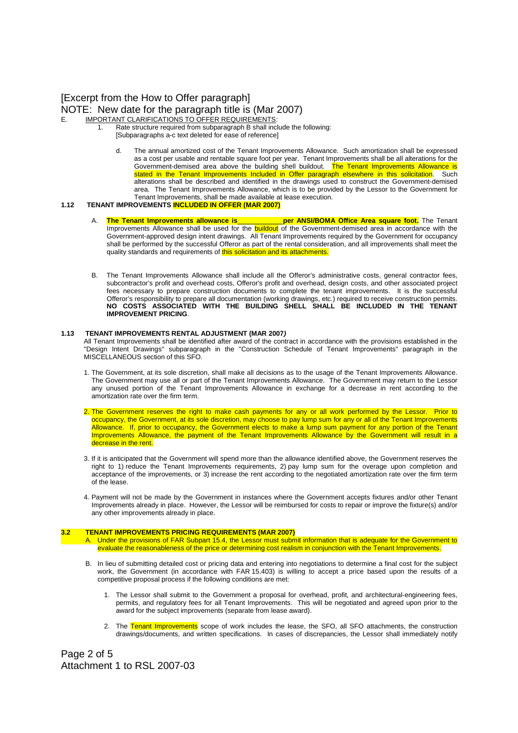# [Excerpt from the How to Offer paragraph]

NOTE: New date for the paragraph title is (Mar 2007)<br>E MEORTANT CLARIFICATIONS TO OFFER REQUIREMENTS:

### IMPORTANT CLARIFICATIONS TO OFFER REQUIREMENTS:

- Rate structure required from subparagraph B shall include the following:
	- [Subparagraphs a-c text deleted for ease of reference]
	- d. The annual amortized cost of the Tenant Improvements Allowance. Such amortization shall be expressed as a cost per usable and rentable square foot per year. Tenant Improvements shall be all alterations for the Government-demised area above the building shell buildout. The Tenant Improvements Allowance is stated in the Tenant Improvements Included in Offer paragraph elsewhere in this solicitation. Such alterations shall be described and identified in the drawings used to construct the Government-demised area. The Tenant Improvements Allowance, which is to be provided by the Lessor to the Government for Tenant Improvements, shall be made available at lease execution.

#### **1.12 TENANT IMPROVEMENTS INCLUDED IN OFFER (MAR 2007)**

- A. **The Tenant Improvements allowance is\_\_\_\_\_\_\_\_\_\_\_\_per ANSI/BOMA Office Area square foot.** The Tenant Improvements Allowance shall be used for the **buildout** of the Government-demised area in accordance with the Government-approved design intent drawings. All Tenant Improvements required by the Government for occupancy shall be performed by the successful Offeror as part of the rental consideration, and all improvements shall meet the quality standards and requirements of this solicitation and its attachments.
- B. The Tenant Improvements Allowance shall include all the Offeror's administrative costs, general contractor fees, subcontractor's profit and overhead costs, Offeror's profit and overhead, design costs, and other associated project fees necessary to prepare construction documents to complete the tenant improvements. It is the successful Offeror's responsibility to prepare all documentation (working drawings, etc.) required to receive construction permits. **NO COSTS ASSOCIATED WITH THE BUILDING SHELL SHALL BE INCLUDED IN THE TENANT IMPROVEMENT PRICING**.

#### **1.13 TENANT IMPROVEMENTS RENTAL ADJUSTMENT (MAR 2007***)*

All Tenant Improvements shall be identified after award of the contract in accordance with the provisions established in the "Design Intent Drawings" subparagraph in the "Construction Schedule of Tenant Improvements" paragraph in the MISCELLANEOUS section of this SFO.

- 1. The Government, at its sole discretion, shall make all decisions as to the usage of the Tenant Improvements Allowance. The Government may use all or part of the Tenant Improvements Allowance. The Government may return to the Lessor any unused portion of the Tenant Improvements Allowance in exchange for a decrease in rent according to the amortization rate over the firm term.
- 2. The Government reserves the right to make cash payments for any or all work performed by the Lessor. Prior to occupancy, the Government, at its sole discretion, may choose to pay lump sum for any or all of the Tenant Improvements Allowance. If, prior to occupancy, the Government elects to make a lump sum payment for any portion of the Tenant Improvements Allowance, the payment of the Tenant Improvements Allowance by the Government will result in a decrease in the rent.
- 3. If it is anticipated that the Government will spend more than the allowance identified above, the Government reserves the right to 1) reduce the Tenant Improvements requirements, 2) pay lump sum for the overage upon completion and acceptance of the improvements, or 3) increase the rent according to the negotiated amortization rate over the firm term of the lease.
- 4. Payment will not be made by the Government in instances where the Government accepts fixtures and/or other Tenant Improvements already in place. However, the Lessor will be reimbursed for costs to repair or improve the fixture(s) and/or any other improvements already in place.

#### **3.2 TENANT IMPROVEMENTS PRICING REQUIREMENTS (MAR 2007)**

- A. Under the provisions of FAR Subpart 15.4, the Lessor must submit information that is adequate for the Government to evaluate the reasonableness of the price or determining cost realism in conjunction with the Tenant Improvements.
- B. In lieu of submitting detailed cost or pricing data and entering into negotiations to determine a final cost for the subject work, the Government (in accordance with FAR 15.403) is willing to accept a price based upon the results of a competitive proposal process if the following conditions are met:
	- 1. The Lessor shall submit to the Government a proposal for overhead, profit, and architectural-engineering fees, permits, and regulatory fees for all Tenant Improvements. This will be negotiated and agreed upon prior to the award for the subject improvements (separate from lease award).
	- 2. The Tenant Improvements scope of work includes the lease, the SFO, all SFO attachments, the construction drawings/documents, and written specifications. In cases of discrepancies, the Lessor shall immediately notify

Page 2 of 5 Attachment 1 to RSL 2007-03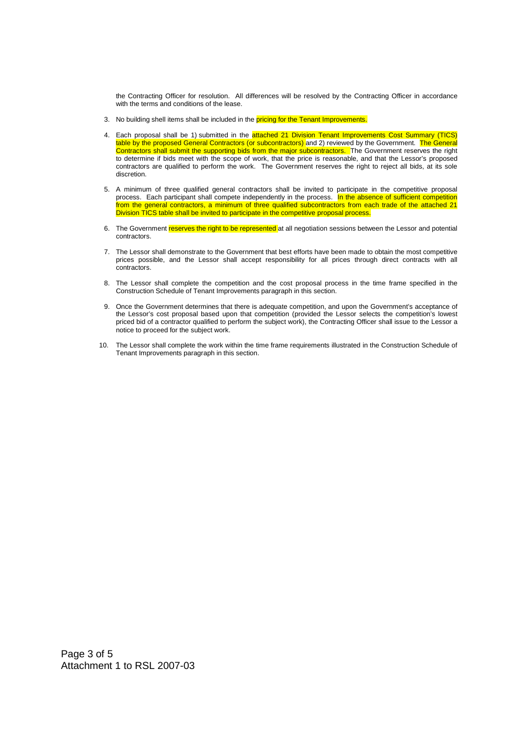the Contracting Officer for resolution. All differences will be resolved by the Contracting Officer in accordance with the terms and conditions of the lease.

- 3. No building shell items shall be included in the pricing for the Tenant Improvements.
- 4. Each proposal shall be 1) submitted in the **attached 21 Division Tenant Improvements Cost Summary (TICS)** table by the proposed General Contractors (or subcontractors) and 2) reviewed by the Government. The General Contractors shall submit the supporting bids from the major subcontractors. The Government reserves the right to determine if bids meet with the scope of work, that the price is reasonable, and that the Lessor's proposed contractors are qualified to perform the work. The Government reserves the right to reject all bids, at its sole discretion.
- 5. A minimum of three qualified general contractors shall be invited to participate in the competitive proposal process. Each participant shall compete independently in the process. In the absence of sufficient competition from the general contractors, a minimum of three qualified subcontractors from each trade of the attached 21 Division TICS table shall be invited to participate in the competitive proposal process.
- 6. The Government reserves the right to be represented at all negotiation sessions between the Lessor and potential contractors.
- 7. The Lessor shall demonstrate to the Government that best efforts have been made to obtain the most competitive prices possible, and the Lessor shall accept responsibility for all prices through direct contracts with all contractors.
- 8. The Lessor shall complete the competition and the cost proposal process in the time frame specified in the Construction Schedule of Tenant Improvements paragraph in this section.
- 9. Once the Government determines that there is adequate competition, and upon the Government's acceptance of the Lessor's cost proposal based upon that competition (provided the Lessor selects the competition's lowest priced bid of a contractor qualified to perform the subject work), the Contracting Officer shall issue to the Lessor a notice to proceed for the subject work.
- 10. The Lessor shall complete the work within the time frame requirements illustrated in the Construction Schedule of Tenant Improvements paragraph in this section.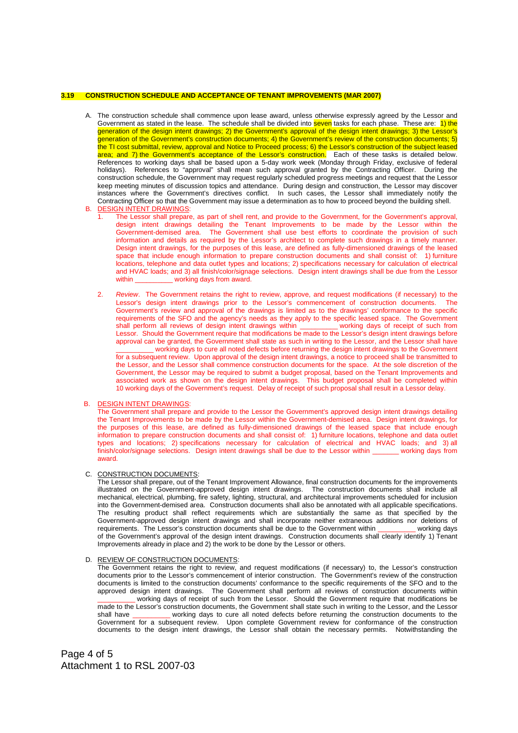#### **3.19 CONSTRUCTION SCHEDULE AND ACCEPTANCE OF TENANT IMPROVEMENTS (MAR 2007)**

- A. The construction schedule shall commence upon lease award, unless otherwise expressly agreed by the Lessor and Government as stated in the lease. The schedule shall be divided into seven tasks for each phase. These are: 1) the generation of the design intent drawings; 2) the Government's approval of the design intent drawings; 3) the Lessor's generation of the Government's construction documents; 4) the Government's review of the construction documents; 5) the TI cost submittal, review, approval and Notice to Proceed process; 6) the Lessor's construction of the subject leased area; and 7) the Government's acceptance of the Lessor's construction. Each of these tasks is detailed below. References to working days shall be based upon a 5-day work week (Monday through Friday, exclusive of federal holidays). References to "approval" shall mean such approval granted by the Contracting Officer. During the construction schedule, the Government may request regularly scheduled progress meetings and request that the Lessor keep meeting minutes of discussion topics and attendance. During design and construction, the Lessor may discover instances where the Government's directives conflict. In such cases, the Lessor shall immediately notify the Contracting Officer so that the Government may issue a determination as to how to proceed beyond the building shell.
- **B.** DESIGN INTENT DRAWINGS
	- The Lessor shall prepare, as part of shell rent, and provide to the Government, for the Government's approval, design intent drawings detailing the Tenant Improvements to be made by the Lessor within the Government-demised area. The Government shall use best efforts to coordinate the provision of such information and details as required by the Lessor's architect to complete such drawings in a timely manner. Design intent drawings, for the purposes of this lease, are defined as fully-dimensioned drawings of the leased space that include enough information to prepare construction documents and shall consist of: 1) furniture locations, telephone and data outlet types and locations; 2) specifications necessary for calculation of electrical and HVAC loads; and 3) all finish/color/signage selections. Design intent drawings shall be due from the Lessor<br>within working days from award. working days from award.
	- 2. *Review*. The Government retains the right to review, approve, and request modifications (if necessary) to the Lessor's design intent drawings prior to the Lessor's commencement of construction documents. The Government's review and approval of the drawings is limited as to the drawings' conformance to the specific requirements of the SFO and the agency's needs as they apply to the specific leased space. The Government shall perform all reviews of design intent drawings within \_\_\_\_\_\_\_\_\_ working days of receipt of such from shall perform all reviews of design intent drawings within \_\_\_\_\_ Lessor. Should the Government require that modifications be made to the Lessor's design intent drawings before approval can be granted, the Government shall state as such in writing to the Lessor, and the Lessor shall have working days to cure all noted defects before returning the design intent drawings to the Government for a subsequent review. Upon approval of the design intent drawings, a notice to proceed shall be transmitted to the Lessor, and the Lessor shall commence construction documents for the space. At the sole discretion of the Government, the Lessor may be required to submit a budget proposal, based on the Tenant Improvements and associated work as shown on the design intent drawings. This budget proposal shall be completed within 10 working days of the Government's request. Delay of receipt of such proposal shall result in a Lessor delay.

### B. DESIGN INTENT DRAWINGS:

The Government shall prepare and provide to the Lessor the Government's approved design intent drawings detailing the Tenant Improvements to be made by the Lessor within the Government-demised area. Design intent drawings, for the purposes of this lease, are defined as fully-dimensioned drawings of the leased space that include enough information to prepare construction documents and shall consist of: 1) furniture locations, telephone and data outlet types and locations; 2) specifications necessary for calculation of electrical and HVAC loads; and 3) all<br>finish/color/signage selections. Design intent drawings shall be due to the Lessor within working days from finish/color/signage selections. Design intent drawings shall be due to the Lessor within \_\_ award.

### C. CONSTRUCTION DOCUMENTS:

The Lessor shall prepare, out of the Tenant Improvement Allowance, final construction documents for the improvements illustrated on the Government-approved design intent drawings. The construction documents shall include all mechanical, electrical, plumbing, fire safety, lighting, structural, and architectural improvements scheduled for inclusion into the Government-demised area. Construction documents shall also be annotated with all applicable specifications. The resulting product shall reflect requirements which are substantially the same as that specified by the Government-approved design intent drawings and shall incorporate neither extraneous additions nor deletions of requirements. The Lessor's construction documents shall be due to the Government within \_\_\_\_\_\_\_\_\_\_ working days of the Government's approval of the design intent drawings. Construction documents shall clearly identify 1) Tenant Improvements already in place and 2) the work to be done by the Lessor or others.

#### D. REVIEW OF CONSTRUCTION DOCUMENTS:

The Government retains the right to review, and request modifications (if necessary) to, the Lessor's construction documents prior to the Lessor's commencement of interior construction. The Government's review of the construction documents is limited to the construction documents' conformance to the specific requirements of the SFO and to the approved design intent drawings. The Government shall perform all reviews of construction documents within working days of receipt of such from the Lessor. Should the Government require that modifications be made to the Lessor's construction documents, the Government shall state such in writing to the Lessor, and the Lessor shall have \_\_\_\_\_\_\_\_\_\_ working days to cure all noted defects before returning the construction documents to the Government for a subsequent review. Upon complete Government review for conformance of the construction documents to the design intent drawings, the Lessor shall obtain the necessary permits. Notwithstanding the

Page 4 of 5 Attachment 1 to RSL 2007-03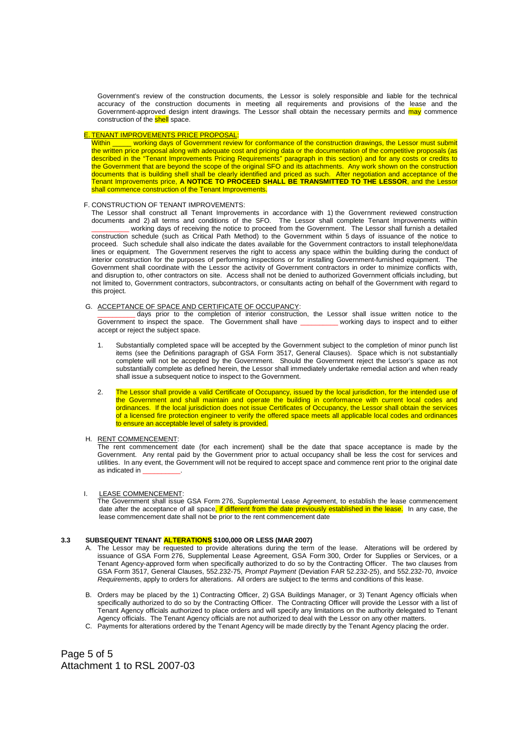Government's review of the construction documents, the Lessor is solely responsible and liable for the technical accuracy of the construction documents in meeting all requirements and provisions of the lease and the Government-approved design intent drawings. The Lessor shall obtain the necessary permits and may commence construction of the **shell** space.

#### E. TENANT IMPROVEMENTS PRICE PROPOSAL:

Within \_\_\_\_\_ working days of Government review for conformance of the construction drawings, the Lessor must submit the written price proposal along with adequate cost and pricing data or the documentation of the competitive proposals (as described in the "Tenant Improvements Pricing Requirements" paragraph in this section) and for any costs or credits to the Government that are beyond the scope of the original SFO and its attachments. Any work shown on the construction documents that is building shell shall be clearly identified and priced as such. After negotiation and acceptance of the Tenant Improvements price, **A NOTICE TO PROCEED SHALL BE TRANSMITTED TO THE LESSOR**, and the Lessor shall commence construction of the Tenant Improvements.

#### F. CONSTRUCTION OF TENANT IMPROVEMENTS:

The Lessor shall construct all Tenant Improvements in accordance with 1) the Government reviewed construction documents and 2) all terms and conditions of the SFO. The Lessor shall complete Tenant Improvements within working days of receiving the notice to proceed from the Government. The Lessor shall furnish a detailed construction schedule (such as Critical Path Method) to the Government within 5 days of issuance of the notice to proceed. Such schedule shall also indicate the dates available for the Government contractors to install telephone/data lines or equipment. The Government reserves the right to access any space within the building during the conduct of interior construction for the purposes of performing inspections or for installing Government-furnished equipment. The Government shall coordinate with the Lessor the activity of Government contractors in order to minimize conflicts with, and disruption to, other contractors on site. Access shall not be denied to authorized Government officials including, but not limited to, Government contractors, subcontractors, or consultants acting on behalf of the Government with regard to this project.

# G. ACCEPTANCE OF SPACE AND CERTIFICATE OF OCCUPANCY:

days prior to the completion of interior construction, the Lessor shall issue written notice to the to inspect the space. The Government shall have working days to inspect and to either Government to inspect the space. The Government shall have accept or reject the subject space.

- 1. Substantially completed space will be accepted by the Government subject to the completion of minor punch list items (see the Definitions paragraph of GSA Form 3517, General Clauses). Space which is not substantially complete will not be accepted by the Government. Should the Government reject the Lessor's space as not substantially complete as defined herein, the Lessor shall immediately undertake remedial action and when ready shall issue a subsequent notice to inspect to the Government.
- 2. The Lessor shall provide a valid Certificate of Occupancy, issued by the local jurisdiction, for the intended use of the Government and shall maintain and operate the building in conformance with current local codes and ordinances. If the local jurisdiction does not issue Certificates of Occupancy, the Lessor shall obtain the services of a licensed fire protection engineer to verify the offered space meets all applicable local codes and ordinances to ensure an acceptable level of safety is provided.

#### H. RENT COMMENCEMENT:

The rent commencement date (for each increment) shall be the date that space acceptance is made by the Government. Any rental paid by the Government prior to actual occupancy shall be less the cost for services and utilities. In any event, the Government will not be required to accept space and commence rent prior to the original date as indicated in

#### LEASE COMMENCEMENT:

The Government shall issue GSA Form 276, Supplemental Lease Agreement, to establish the lease commencement date after the acceptance of all space, if different from the date previously established in the lease. In any case, the lease commencement date shall not be prior to the rent commencement date

#### **3.3 SUBSEQUENT TENANT ALTERATIONS \$100,000 OR LESS (MAR 2007)**

- A. The Lessor may be requested to provide alterations during the term of the lease. Alterations will be ordered by issuance of GSA Form 276, Supplemental Lease Agreement, GSA Form 300, Order for Supplies or Services, or a Tenant Agency-approved form when specifically authorized to do so by the Contracting Officer. The two clauses from GSA Form 3517, General Clauses, 552.232-75, *Prompt Payment* (Deviation FAR 52.232-25), and 552.232-70, *Invoice Requirements*, apply to orders for alterations. All orders are subject to the terms and conditions of this lease.
- B. Orders may be placed by the 1) Contracting Officer, 2) GSA Buildings Manager, or 3) Tenant Agency officials when specifically authorized to do so by the Contracting Officer. The Contracting Officer will provide the Lessor with a list of Tenant Agency officials authorized to place orders and will specify any limitations on the authority delegated to Tenant Agency officials. The Tenant Agency officials are not authorized to deal with the Lessor on any other matters.
- C. Payments for alterations ordered by the Tenant Agency will be made directly by the Tenant Agency placing the order.

Page 5 of 5 Attachment 1 to RSL 2007-03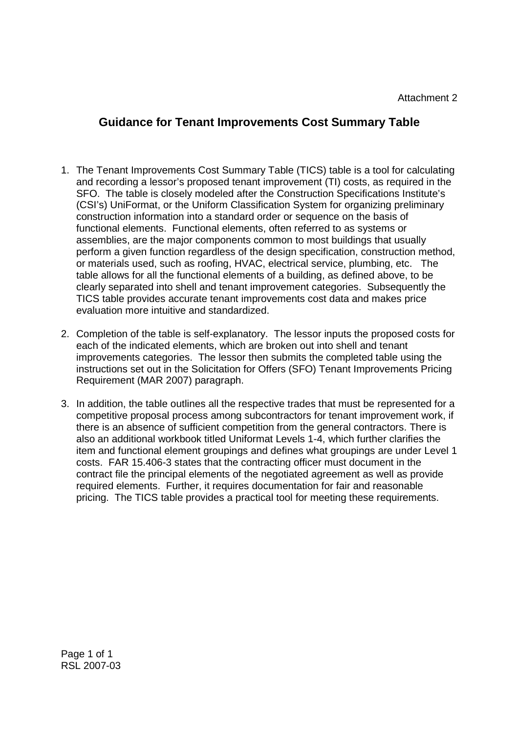# **Guidance for Tenant Improvements Cost Summary Table**

- 1. The Tenant Improvements Cost Summary Table (TICS) table is a tool for calculating and recording a lessor's proposed tenant improvement (TI) costs, as required in the SFO. The table is closely modeled after the Construction Specifications Institute's (CSI's) UniFormat, or the Uniform Classification System for organizing preliminary construction information into a standard order or sequence on the basis of functional elements. Functional elements, often referred to as systems or assemblies, are the major components common to most buildings that usually perform a given function regardless of the design specification, construction method, or materials used, such as roofing, HVAC, electrical service, plumbing, etc. The table allows for all the functional elements of a building, as defined above, to be clearly separated into shell and tenant improvement categories. Subsequently the TICS table provides accurate tenant improvements cost data and makes price evaluation more intuitive and standardized.
- 2. Completion of the table is self-explanatory. The lessor inputs the proposed costs for each of the indicated elements, which are broken out into shell and tenant improvements categories. The lessor then submits the completed table using the instructions set out in the Solicitation for Offers (SFO) Tenant Improvements Pricing Requirement (MAR 2007) paragraph.
- 3. In addition, the table outlines all the respective trades that must be represented for a competitive proposal process among subcontractors for tenant improvement work, if there is an absence of sufficient competition from the general contractors. There is also an additional workbook titled Uniformat Levels 1-4, which further clarifies the item and functional element groupings and defines what groupings are under Level 1 costs. FAR 15.406-3 states that the contracting officer must document in the contract file the principal elements of the negotiated agreement as well as provide required elements. Further, it requires documentation for fair and reasonable pricing. The TICS table provides a practical tool for meeting these requirements.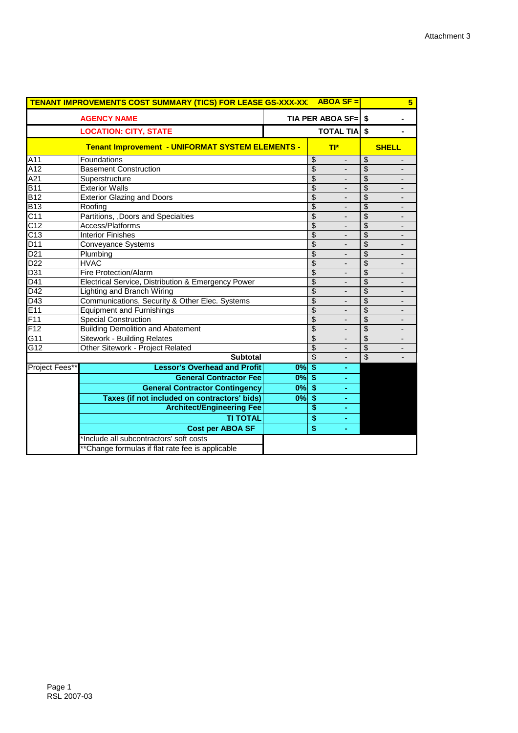|                  | TENANT IMPROVEMENTS COST SUMMARY (TICS) FOR LEASE GS-XXX-XX |         | $ABOA SF =$                                 |                          | $5\phantom{1}$           |
|------------------|-------------------------------------------------------------|---------|---------------------------------------------|--------------------------|--------------------------|
|                  | <b>AGENCY NAME</b>                                          |         | TIA PER ABOA SF= \$                         |                          |                          |
|                  | <b>LOCATION: CITY, STATE</b>                                |         | <b>TOTAL TIALS</b>                          |                          |                          |
|                  | <b>Tenant Improvement - UNIFORMAT SYSTEM ELEMENTS -</b>     |         | $T^*$                                       |                          | <b>SHELL</b>             |
| A11              | Foundations                                                 |         | \$<br>$\overline{\phantom{a}}$              | \$                       |                          |
| $\overline{A12}$ | <b>Basement Construction</b>                                |         | \$                                          | \$                       |                          |
| $\overline{A21}$ | Superstructure                                              |         | $\overline{\mathcal{S}}$                    | $\overline{\mathcal{S}}$ |                          |
| <b>B11</b>       | <b>Exterior Walls</b>                                       |         | $\overline{\$}$                             | $\overline{\mathcal{S}}$ |                          |
| <b>B12</b>       | <b>Exterior Glazing and Doors</b>                           |         | \$                                          | $\overline{\$}$          |                          |
| <b>B13</b>       | Roofing                                                     |         | \$                                          | \$                       |                          |
| C <sub>11</sub>  | Partitions, , Doors and Specialties                         |         | $\overline{\$}$<br>$\overline{a}$           | $\overline{\$}$          | $\overline{\phantom{a}}$ |
| $\overline{C12}$ | Access/Platforms                                            |         | $\overline{\mathcal{L}}$                    | $\overline{\mathcal{S}}$ | $\overline{\phantom{a}}$ |
| $\overline{C13}$ | <b>Interior Finishes</b>                                    |         | $\overline{\$}$                             | $\overline{\$}$          | $\overline{\phantom{a}}$ |
| D <sub>11</sub>  | <b>Conveyance Systems</b>                                   |         | $\overline{\$}$                             | $\overline{\$}$          | $\overline{a}$           |
| D <sub>21</sub>  | Plumbing                                                    |         | $\overline{\$}$                             | $\overline{\$}$          |                          |
| D22              | <b>HVAC</b>                                                 |         | \$<br>$\qquad \qquad \blacksquare$          | $\overline{\mathcal{S}}$ | $\overline{\phantom{a}}$ |
| $\overline{D31}$ | Fire Protection/Alarm                                       |         | \$                                          | \$                       | $\overline{\phantom{a}}$ |
| D41              | Electrical Service, Distribution & Emergency Power          |         | $\overline{\mathcal{L}}$                    | \$                       |                          |
| D42              | Lighting and Branch Wiring                                  |         | $\overline{\$}$                             | $\overline{\mathcal{S}}$ |                          |
| D43              | Communications, Security & Other Elec. Systems              |         | \$                                          | $\overline{\mathcal{S}}$ |                          |
| E11              | <b>Equipment and Furnishings</b>                            |         | \$<br>÷,                                    | $\overline{\mathcal{S}}$ |                          |
| F11              | Special Construction                                        |         | \$<br>÷,                                    | \$                       |                          |
| F12              | <b>Building Demolition and Abatement</b>                    |         | \$<br>÷,                                    | $\overline{\mathcal{S}}$ |                          |
| $\overline{G11}$ | Sitework - Building Relates                                 |         | \$<br>÷,                                    | \$                       | $\overline{\phantom{a}}$ |
| G12              | Other Sitework - Project Related                            |         | \$<br>$\overline{\phantom{a}}$              | $\overline{\mathcal{S}}$ | $\overline{a}$           |
|                  | <b>Subtotal</b>                                             |         | $\overline{\$}$<br>$\overline{\phantom{a}}$ | \$                       | $\overline{\phantom{0}}$ |
| Project Fees**   | <b>Lessor's Overhead and Profit</b>                         | $0\%$   | $\overline{\boldsymbol{\mathsf{s}}}$<br>٠   |                          |                          |
|                  | <b>General Contractor Fee</b>                               | $0%$ \$ |                                             |                          |                          |
|                  | <b>General Contractor Contingency</b>                       | $0%$ \$ |                                             |                          |                          |
|                  | Taxes (if not included on contractors' bids)                | 0%      | $\overline{\bullet}$                        |                          |                          |
|                  | <b>Architect/Engineering Fee</b>                            |         | $\overline{\mathbf{s}}$<br>÷                |                          |                          |
|                  | <b>TI TOTAL</b>                                             |         | \$                                          |                          |                          |
|                  | Cost per ABOA SF                                            |         | $\overline{\mathbf{s}}$<br>٠                |                          |                          |
|                  | *Include all subcontractors' soft costs                     |         |                                             |                          |                          |
|                  | ** Change formulas if flat rate fee is applicable           |         |                                             |                          |                          |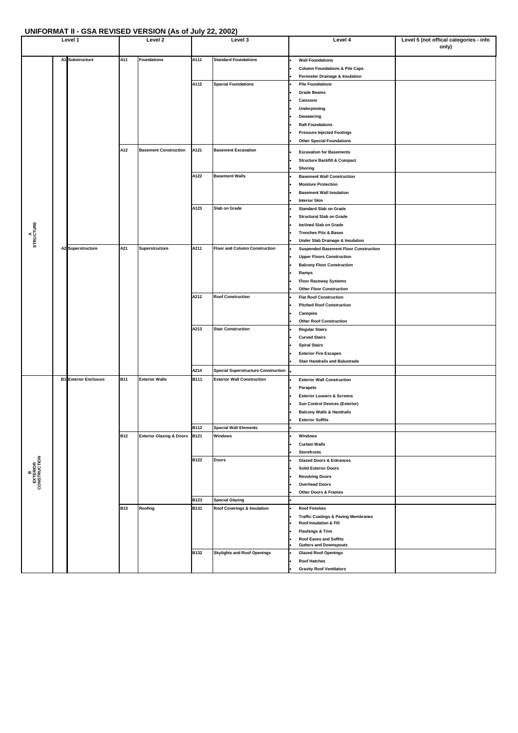| Level 1                         |  | Level 2                      |            | Level 3                       |             | Level 4                                    | Level 5 (not offical categories - info                                   |       |
|---------------------------------|--|------------------------------|------------|-------------------------------|-------------|--------------------------------------------|--------------------------------------------------------------------------|-------|
|                                 |  |                              |            |                               |             |                                            |                                                                          | only) |
|                                 |  | A1 Substructure              | A11        | <b>Foundations</b>            | A111        | <b>Standard Foundations</b>                | <b>Wall Foundations</b>                                                  |       |
|                                 |  |                              |            |                               |             |                                            | <b>Column Foundations &amp; Pile Caps</b>                                |       |
|                                 |  |                              |            |                               |             |                                            | Perimeter Drainage & Insulation                                          |       |
|                                 |  |                              |            |                               | A112        | <b>Special Foundations</b>                 | <b>Pile Foundations</b>                                                  |       |
|                                 |  |                              |            |                               |             |                                            | <b>Grade Beams</b>                                                       |       |
|                                 |  |                              |            |                               |             |                                            | Caissons                                                                 |       |
|                                 |  |                              |            |                               |             |                                            | Underpinning                                                             |       |
|                                 |  |                              |            |                               |             |                                            | Dewatering                                                               |       |
|                                 |  |                              |            |                               |             |                                            | <b>Raft Foundations</b>                                                  |       |
|                                 |  |                              |            |                               |             |                                            | <b>Pressure Injected Footings</b>                                        |       |
|                                 |  |                              |            |                               |             |                                            | <b>Other Special Foundations</b>                                         |       |
|                                 |  |                              | A12        | <b>Basement Construction</b>  | A121        | <b>Basement Excavation</b>                 | <b>Excavation for Basements</b>                                          |       |
|                                 |  |                              |            |                               |             |                                            | <b>Structure Backfill &amp; Compact</b>                                  |       |
|                                 |  |                              |            |                               |             |                                            | Shoring                                                                  |       |
|                                 |  |                              |            |                               | A122        | <b>Basement Walls</b>                      | <b>Basement Wall Construction</b>                                        |       |
|                                 |  |                              |            |                               |             |                                            | <b>Moisture Protection</b>                                               |       |
|                                 |  |                              |            |                               |             |                                            | <b>Basement Wall Insulation</b>                                          |       |
|                                 |  |                              |            |                               |             |                                            | <b>Interior Skin</b>                                                     |       |
|                                 |  |                              |            |                               | A123        | Slab on Grade                              | <b>Standard Slab on Grade</b>                                            |       |
|                                 |  |                              |            |                               |             |                                            | <b>Structural Slab on Grade</b>                                          |       |
|                                 |  |                              |            |                               |             |                                            | Inclined Slab on Grade                                                   |       |
|                                 |  |                              |            |                               |             |                                            | <b>Trenches Pits &amp; Bases</b>                                         |       |
| <b>STRUCTURE</b>                |  |                              |            |                               |             |                                            | <b>Under Slab Drainage &amp; Insulation</b>                              |       |
|                                 |  | A2 Superstructure            | A21        | Superstructure                | A211        | <b>Floor and Column Construction</b>       | <b>Suspended Basement Floor Construction</b>                             |       |
|                                 |  |                              |            |                               |             |                                            | <b>Upper Floors Construction</b>                                         |       |
|                                 |  |                              |            |                               |             |                                            | <b>Balcony Floor Construction</b>                                        |       |
|                                 |  |                              |            |                               |             |                                            | Ramps                                                                    |       |
|                                 |  |                              |            |                               |             |                                            | <b>Floor Raceway Systems</b>                                             |       |
|                                 |  |                              |            |                               | A212        | <b>Roof Construction</b>                   | <b>Other Floor Construction</b>                                          |       |
|                                 |  |                              |            |                               |             |                                            | <b>Flat Roof Construction</b>                                            |       |
|                                 |  |                              |            |                               |             |                                            | <b>Pitched Roof Construction</b><br><b>Canopies</b>                      |       |
|                                 |  |                              |            |                               |             |                                            | <b>Other Roof Construction</b>                                           |       |
|                                 |  |                              |            |                               | A213        | <b>Stair Construction</b>                  | <b>Regular Stairs</b>                                                    |       |
|                                 |  |                              |            |                               |             |                                            | <b>Curved Stairs</b>                                                     |       |
|                                 |  |                              |            |                               |             |                                            | <b>Spiral Stairs</b>                                                     |       |
|                                 |  |                              |            |                               |             |                                            | <b>Exterior Fire Escapes</b>                                             |       |
|                                 |  |                              |            |                               |             |                                            | <b>Stair Handrails and Balustrade</b>                                    |       |
|                                 |  |                              |            |                               | A214        | <b>Special Superstructure Construction</b> |                                                                          |       |
|                                 |  | <b>B1</b> Exterior Enclosure | <b>B11</b> | <b>Exterior Walls</b>         | <b>B111</b> | <b>Exterior Wall Construction</b>          | <b>Exterior Wall Construction</b>                                        |       |
|                                 |  |                              |            |                               |             |                                            | Parapets                                                                 |       |
|                                 |  |                              |            |                               |             |                                            | <b>Exterior Louvers &amp; Screens</b>                                    |       |
|                                 |  |                              |            |                               |             |                                            | Sun Control Devices (Exterior)                                           |       |
|                                 |  |                              |            |                               |             |                                            | <b>Balcony Walls &amp; Handrails</b>                                     |       |
|                                 |  |                              |            |                               |             |                                            | <b>Exterior Soffits</b>                                                  |       |
|                                 |  |                              |            |                               | B112        | <b>Special Wall Elements</b>               |                                                                          |       |
|                                 |  |                              | <b>B12</b> | Exterior Glazing & Doors B121 |             | Windows                                    | Windows                                                                  |       |
|                                 |  |                              |            |                               |             |                                            | <b>Curtain Walls</b>                                                     |       |
|                                 |  |                              |            |                               |             |                                            | <b>Storefronts</b>                                                       |       |
|                                 |  |                              |            |                               | <b>B122</b> | <b>Doors</b>                               | <b>Glazed Doors &amp; Entrances</b>                                      |       |
|                                 |  |                              |            |                               |             |                                            | <b>Solid Exterior Doors</b>                                              |       |
| <b>EXTERIOR</b><br>CONSTRUCTION |  |                              |            |                               |             |                                            | <b>Revolving Doors</b>                                                   |       |
|                                 |  |                              |            |                               |             |                                            | <b>Overhead Doors</b>                                                    |       |
|                                 |  |                              |            |                               |             |                                            | <b>Other Doors &amp; Frames</b>                                          |       |
|                                 |  |                              |            |                               | B123        | <b>Special Glazing</b>                     |                                                                          |       |
|                                 |  |                              | <b>B13</b> | Roofing                       | <b>B131</b> | Roof Coverings & Insulation                | <b>Roof Finishes</b>                                                     |       |
|                                 |  |                              |            |                               |             |                                            | <b>Traffic Coatings &amp; Paving Membranes</b><br>Roof Insulation & Fill |       |
|                                 |  |                              |            |                               |             |                                            | <b>Flashings &amp; Trim</b>                                              |       |
|                                 |  |                              |            |                               |             |                                            | <b>Roof Eaves and Soffits</b>                                            |       |
|                                 |  |                              |            |                               |             |                                            | <b>Gutters and Downspouts</b>                                            |       |
|                                 |  |                              |            |                               | B132        | <b>Skylights and Roof Openings</b>         | <b>Glazed Roof Openings</b>                                              |       |
|                                 |  |                              |            |                               |             |                                            | <b>Roof Hatches</b>                                                      |       |
|                                 |  |                              |            |                               |             |                                            | <b>Gravity Roof Ventilators</b>                                          |       |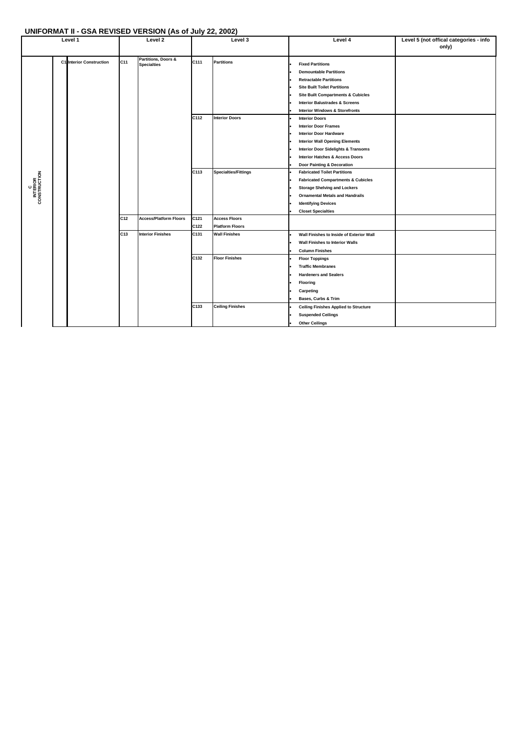| Level 1                             |                                 |                 | Level 2                       |      | Level 3                     | Level 4                                        | Level 5 (not offical categories - info |
|-------------------------------------|---------------------------------|-----------------|-------------------------------|------|-----------------------------|------------------------------------------------|----------------------------------------|
|                                     |                                 |                 |                               |      |                             |                                                | only)                                  |
|                                     |                                 |                 | Partitions, Doors &           |      |                             |                                                |                                        |
|                                     | <b>C1</b> Interior Construction | C11             | <b>Specialties</b>            | C111 | <b>Partitions</b>           | <b>Fixed Partitions</b>                        |                                        |
|                                     |                                 |                 |                               |      |                             | <b>Demountable Partitions</b>                  |                                        |
|                                     |                                 |                 |                               |      |                             | <b>Retractable Partitions</b>                  |                                        |
|                                     |                                 |                 |                               |      |                             | <b>Site Built Toilet Partitions</b>            |                                        |
|                                     |                                 |                 |                               |      |                             | <b>Site Built Compartments &amp; Cubicles</b>  |                                        |
|                                     |                                 |                 |                               |      |                             | <b>Interior Balustrades &amp; Screens</b>      |                                        |
|                                     |                                 |                 |                               |      |                             | <b>Interior Windows &amp; Storefronts</b>      |                                        |
|                                     |                                 |                 |                               | C112 | <b>Interior Doors</b>       | <b>Interior Doors</b>                          |                                        |
|                                     |                                 |                 |                               |      |                             | <b>Interior Door Frames</b>                    |                                        |
|                                     |                                 |                 |                               |      |                             | <b>Interior Door Hardware</b>                  |                                        |
|                                     |                                 |                 |                               |      |                             | <b>Interior Wall Opening Elements</b>          |                                        |
|                                     |                                 |                 |                               |      |                             | <b>Interior Door Sidelights &amp; Transoms</b> |                                        |
|                                     |                                 |                 |                               |      |                             | <b>Interior Hatches &amp; Access Doors</b>     |                                        |
|                                     |                                 |                 |                               |      |                             | Door Painting & Decoration                     |                                        |
| <b>CONSTRUCTION</b><br>CONSTRUCTION |                                 |                 |                               | C113 | <b>Specialties/Fittings</b> | <b>Fabricated Toilet Partitions</b>            |                                        |
|                                     |                                 |                 |                               |      |                             | <b>Fabricated Compartments &amp; Cubicles</b>  |                                        |
|                                     |                                 |                 |                               |      |                             | <b>Storage Shelving and Lockers</b>            |                                        |
|                                     |                                 |                 |                               |      |                             | <b>Ornamental Metals and Handrails</b>         |                                        |
|                                     |                                 |                 |                               |      |                             | <b>Identifying Devices</b>                     |                                        |
|                                     |                                 |                 |                               |      |                             | <b>Closet Specialties</b>                      |                                        |
|                                     |                                 | C12             | <b>Access/Platform Floors</b> | C121 | <b>Access Floors</b>        |                                                |                                        |
|                                     |                                 |                 |                               | C122 | <b>Platform Floors</b>      |                                                |                                        |
|                                     |                                 | C <sub>13</sub> | <b>Interior Finishes</b>      | C131 | <b>Wall Finishes</b>        | Wall Finishes to Inside of Exterior Wall       |                                        |
|                                     |                                 |                 |                               |      |                             | Wall Finishes to Interior Walls                |                                        |
|                                     |                                 |                 |                               |      |                             | <b>Column Finishes</b>                         |                                        |
|                                     |                                 |                 |                               | C132 | <b>Floor Finishes</b>       | <b>Floor Toppings</b>                          |                                        |
|                                     |                                 |                 |                               |      |                             | <b>Traffic Membranes</b>                       |                                        |
|                                     |                                 |                 |                               |      |                             | <b>Hardeners and Sealers</b>                   |                                        |
|                                     |                                 |                 |                               |      |                             | <b>Flooring</b>                                |                                        |
|                                     |                                 |                 |                               |      |                             | Carpeting                                      |                                        |
|                                     |                                 |                 |                               |      |                             | Bases, Curbs & Trim                            |                                        |
|                                     |                                 |                 |                               | C133 | <b>Ceiling Finishes</b>     | <b>Ceiling Finishes Applied to Structure</b>   |                                        |
|                                     |                                 |                 |                               |      |                             | <b>Suspended Ceilings</b>                      |                                        |
|                                     |                                 |                 |                               |      |                             | <b>Other Ceilings</b>                          |                                        |
|                                     |                                 |                 |                               |      |                             |                                                |                                        |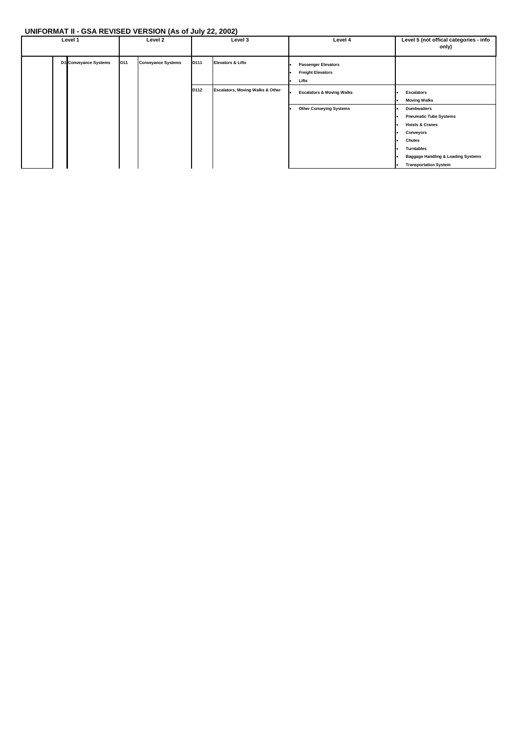|  | Level 1               |                 | Level 2                   |      | Level 3                                     | Level 4                                                         | Level 5 (not offical categories - info<br>only)                                                                                                                                                                |
|--|-----------------------|-----------------|---------------------------|------|---------------------------------------------|-----------------------------------------------------------------|----------------------------------------------------------------------------------------------------------------------------------------------------------------------------------------------------------------|
|  | D1 Conveyance Systems | D <sub>11</sub> | <b>Conveyance Systems</b> | D111 | <b>Elevators &amp; Lifts</b>                | <b>Passenger Elevators</b><br><b>Freight Elevators</b><br>Lifts |                                                                                                                                                                                                                |
|  |                       |                 |                           | D112 | <b>Escalators, Moving Walks &amp; Other</b> | <b>Escalators &amp; Moving Walks</b>                            | <b>Escalators</b><br><b>Moving Walks</b>                                                                                                                                                                       |
|  |                       |                 |                           |      |                                             | <b>Other Conveying Systems</b>                                  | <b>Dumbwaiters</b><br><b>Pneumatic Tube Systems</b><br><b>Hoists &amp; Cranes</b><br>Conveyors<br>Chutes<br><b>Turntables</b><br><b>Baggage Handling &amp; Loading Systems</b><br><b>Transportation System</b> |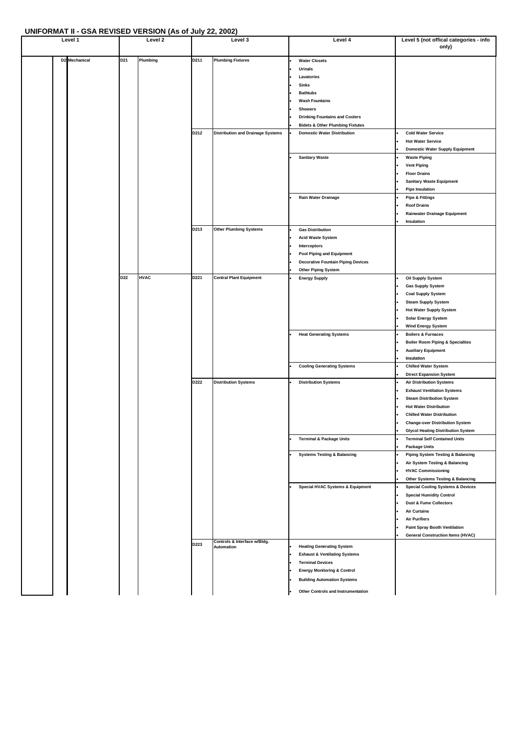| Level 1       |                 | Level 2     |      | Level 3                                           | Level 4                                                                                                                                                                                                                       | Level 5 (not offical categories - info<br>only)                                                                                                                                                                                                                        |
|---------------|-----------------|-------------|------|---------------------------------------------------|-------------------------------------------------------------------------------------------------------------------------------------------------------------------------------------------------------------------------------|------------------------------------------------------------------------------------------------------------------------------------------------------------------------------------------------------------------------------------------------------------------------|
| D2 Mechanical | D <sub>21</sub> | Plumbing    | D211 | <b>Plumbing Fixtures</b>                          | <b>Water Closets</b><br>Urinals<br>Lavatories<br><b>Sinks</b><br><b>Bathtubs</b><br><b>Wash Fountains</b><br><b>Showers</b><br><b>Drinking Fountains and Coolers</b><br><b>Bidets &amp; Other Plumbing Fixtutes</b>           |                                                                                                                                                                                                                                                                        |
|               |                 |             | D212 | <b>Distribution and Drainage Systems</b>          | <b>Domestic Water Distribution</b><br><b>Sanitary Waste</b>                                                                                                                                                                   | <b>Cold Water Service</b><br><b>Hot Water Service</b><br><b>Domestic Water Supply Equipment</b><br><b>Waste Piping</b><br><b>Vent Piping</b><br><b>Floor Drains</b><br><b>Sanitary Waste Equipment</b><br><b>Pipe Insulation</b>                                       |
|               |                 |             |      |                                                   | Rain Water Drainage                                                                                                                                                                                                           | <b>Pipe &amp; Fittings</b><br><b>Roof Drains</b><br>Rainwater Drainage Equipment<br>Insulation                                                                                                                                                                         |
|               |                 |             | D213 | <b>Other Plumbing Systems</b>                     | <b>Gas Distribution</b><br><b>Acid Waste System</b><br>Interceptors<br>Pool Piping and Equipment<br><b>Decorative Fountain Piping Devices</b><br><b>Other Piping System</b>                                                   |                                                                                                                                                                                                                                                                        |
|               | D22             | <b>HVAC</b> | D221 | <b>Central Plant Equipment</b>                    | <b>Energy Supply</b>                                                                                                                                                                                                          | Oil Supply System<br><b>Gas Supply System</b><br><b>Coal Supply System</b><br><b>Steam Supply System</b><br><b>Hot Water Supply System</b><br><b>Solar Energy System</b><br><b>Wind Energy System</b>                                                                  |
|               |                 |             |      |                                                   | <b>Heat Generating Systems</b>                                                                                                                                                                                                | <b>Boilers &amp; Furnaces</b><br><b>Boiler Room Piping &amp; Specialties</b><br><b>Auxiliary Equipment</b><br>Insulation                                                                                                                                               |
|               |                 |             |      |                                                   | <b>Cooling Generating Systems</b>                                                                                                                                                                                             | <b>Chilled Water System</b><br><b>Direct Expansion System</b>                                                                                                                                                                                                          |
|               |                 |             | D222 | <b>Distribution Systems</b>                       | <b>Distribution Systems</b>                                                                                                                                                                                                   | <b>Air Distribution Systems</b><br><b>Exhaust Ventilation Systems</b><br><b>Steam Distribution System</b><br><b>Hot Water Distribution</b><br><b>Chilled Water Distribution</b><br><b>Change-over Distribution System</b><br><b>Glycol Heating Distribution System</b> |
|               |                 |             |      |                                                   | <b>Terminal &amp; Package Units</b>                                                                                                                                                                                           | <b>Terminal Self Contained Units</b><br><b>Package Units</b>                                                                                                                                                                                                           |
|               |                 |             |      |                                                   | <b>Systems Testing &amp; Balancing</b>                                                                                                                                                                                        | <b>Piping System Testing &amp; Balancing</b><br>Air System Testing & Balancing<br><b>HVAC Commissioning</b><br>Other Systems Testing & Balancing                                                                                                                       |
|               |                 |             |      |                                                   | Special HVAC Systems & Equipment                                                                                                                                                                                              | <b>Special Cooling Systems &amp; Devices</b><br><b>Special Humidity Control</b><br><b>Dust &amp; Fume Collectors</b><br><b>Air Curtains</b><br><b>Air Purifiers</b><br>Paint Spray Booth Ventilation<br><b>General Construction Items (HVAC)</b>                       |
|               |                 |             | D223 | Controls & Interface w/Bldg.<br><b>Automation</b> | <b>Heating Generating System</b><br><b>Exhaust &amp; Ventilating Systems</b><br><b>Terminal Devices</b><br><b>Energy Monitoring &amp; Control</b><br><b>Building Automation Systems</b><br>Other Controls and Instrumentation |                                                                                                                                                                                                                                                                        |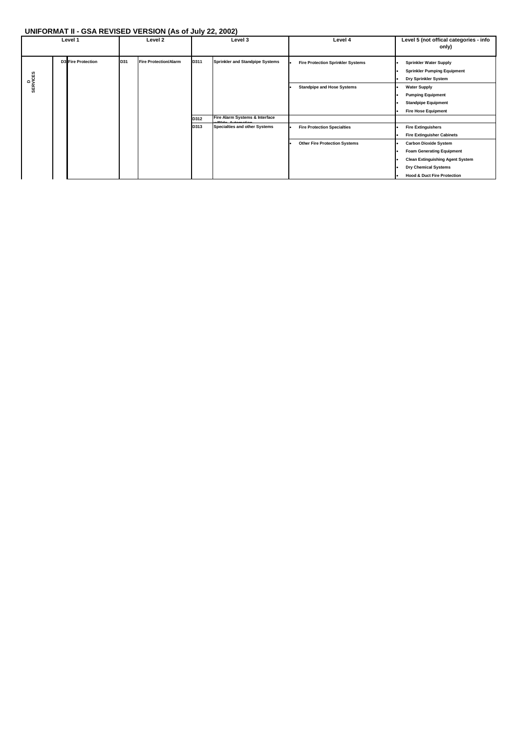| Level 1  |  | Level 2                   |     | Level 3                      |      | Level 4                                | Level 5 (not offical categories - info<br>only) |                                                                                                                                                                                      |
|----------|--|---------------------------|-----|------------------------------|------|----------------------------------------|-------------------------------------------------|--------------------------------------------------------------------------------------------------------------------------------------------------------------------------------------|
| SERVICES |  | <b>D3</b> Fire Protection | D31 | <b>Fire Protection/Alarm</b> | D311 | <b>Sprinkler and Standpipe Systems</b> | <b>Fire Protection Sprinkler Systems</b>        | <b>Sprinkler Water Supply</b><br><b>Sprinkler Pumping Equipment</b><br>Dry Sprinkler System                                                                                          |
|          |  |                           |     |                              |      |                                        | <b>Standpipe and Hose Systems</b>               | <b>Water Supply</b><br><b>Pumping Equipment</b><br><b>Standpipe Equipment</b><br><b>Fire Hose Equipment</b>                                                                          |
|          |  |                           |     |                              | D312 | Fire Alarm Systems & Interface         |                                                 |                                                                                                                                                                                      |
|          |  |                           |     |                              | D313 | Specialties and other Systems          | <b>Fire Protection Specialties</b>              | <b>Fire Extinguishers</b><br><b>Fire Extinguisher Cabinets</b>                                                                                                                       |
|          |  |                           |     |                              |      |                                        | <b>Other Fire Protection Systems</b>            | <b>Carbon Dioxide System</b><br><b>Foam Generating Equipment</b><br><b>Clean Extinguishing Agent System</b><br><b>Dry Chemical Systems</b><br><b>Hood &amp; Duct Fire Protection</b> |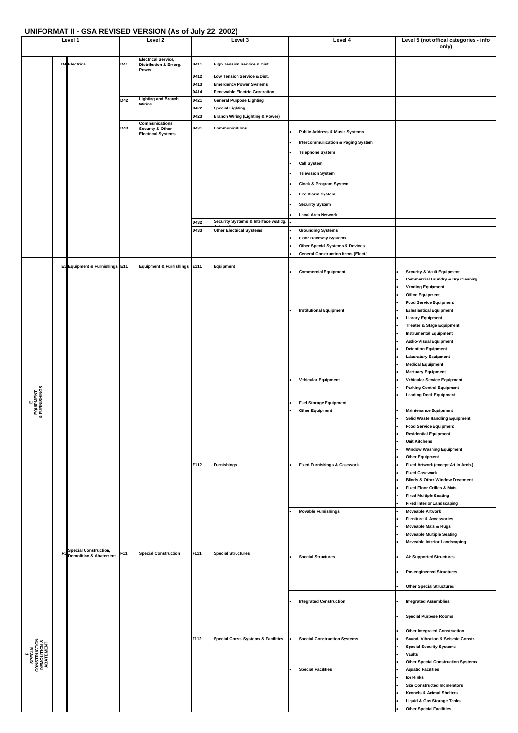|                                                                     | Level 1                           |     | Level 2                                             |      | Level 3                                     | Level 4                                       | Level 5 (not offical categories - info       |
|---------------------------------------------------------------------|-----------------------------------|-----|-----------------------------------------------------|------|---------------------------------------------|-----------------------------------------------|----------------------------------------------|
|                                                                     |                                   |     |                                                     |      |                                             |                                               | only)                                        |
|                                                                     |                                   |     |                                                     |      |                                             |                                               |                                              |
|                                                                     | <b>D4</b> Electrical              | D41 | <b>Electrical Service,</b><br>Distribution & Emerg. | D411 | <b>High Tension Service &amp; Dist.</b>     |                                               |                                              |
|                                                                     |                                   |     | Power                                               |      |                                             |                                               |                                              |
|                                                                     |                                   |     |                                                     | D412 | Low Tension Service & Dist.                 |                                               |                                              |
|                                                                     |                                   |     |                                                     | D413 | <b>Emergency Power Systems</b>              |                                               |                                              |
|                                                                     |                                   |     |                                                     | D414 | Renewable Electric Generation               |                                               |                                              |
|                                                                     |                                   | D42 | <b>Lighting and Branch</b><br>Afirima               | D421 | <b>General Purpose Lighting</b>             |                                               |                                              |
|                                                                     |                                   |     |                                                     | D422 | <b>Special Lighting</b>                     |                                               |                                              |
|                                                                     |                                   |     |                                                     | D423 | <b>Branch Wiring (Lighting &amp; Power)</b> |                                               |                                              |
|                                                                     |                                   |     | Communications,                                     |      |                                             |                                               |                                              |
|                                                                     |                                   | D43 | Security & Other<br><b>Electrical Systems</b>       | D431 | Communications                              | <b>Public Address &amp; Music Systems</b>     |                                              |
|                                                                     |                                   |     |                                                     |      |                                             | <b>Intercommunication &amp; Paging System</b> |                                              |
|                                                                     |                                   |     |                                                     |      |                                             |                                               |                                              |
|                                                                     |                                   |     |                                                     |      |                                             | <b>Telephone System</b>                       |                                              |
|                                                                     |                                   |     |                                                     |      |                                             | <b>Call System</b>                            |                                              |
|                                                                     |                                   |     |                                                     |      |                                             | <b>Television System</b>                      |                                              |
|                                                                     |                                   |     |                                                     |      |                                             |                                               |                                              |
|                                                                     |                                   |     |                                                     |      |                                             | Clock & Program System                        |                                              |
|                                                                     |                                   |     |                                                     |      |                                             | Fire Alarm System                             |                                              |
|                                                                     |                                   |     |                                                     |      |                                             | <b>Security System</b>                        |                                              |
|                                                                     |                                   |     |                                                     |      |                                             |                                               |                                              |
|                                                                     |                                   |     |                                                     |      |                                             | <b>Local Area Network</b>                     |                                              |
|                                                                     |                                   |     |                                                     | D432 | Security Systems & Interface w/Bldg.        |                                               |                                              |
|                                                                     |                                   |     |                                                     | D433 | <b>Other Electrical Systems</b>             | <b>Grounding Systems</b>                      |                                              |
|                                                                     |                                   |     |                                                     |      |                                             | <b>Floor Raceway Systems</b>                  |                                              |
|                                                                     |                                   |     |                                                     |      |                                             | <b>Other Special Systems &amp; Devices</b>    |                                              |
|                                                                     |                                   |     |                                                     |      |                                             | <b>General Construction Items (Elect.)</b>    |                                              |
|                                                                     | E1 Equipment & Furnishings E11    |     | Equipment & Furnishings E111                        |      | Equipment                                   |                                               |                                              |
|                                                                     |                                   |     |                                                     |      |                                             | <b>Commercial Equipment</b>                   | <b>Security &amp; Vault Equipment</b>        |
|                                                                     |                                   |     |                                                     |      |                                             |                                               | <b>Commercial Laundry &amp; Dry Cleaning</b> |
|                                                                     |                                   |     |                                                     |      |                                             |                                               | <b>Vending Equipment</b>                     |
|                                                                     |                                   |     |                                                     |      |                                             |                                               | <b>Office Equipment</b>                      |
|                                                                     |                                   |     |                                                     |      |                                             |                                               | <b>Food Service Equipment</b>                |
|                                                                     |                                   |     |                                                     |      |                                             | <b>Institutional Equipment</b>                | <b>Eclesiastical Equipment</b>               |
|                                                                     |                                   |     |                                                     |      |                                             |                                               | <b>Library Equipment</b>                     |
|                                                                     |                                   |     |                                                     |      |                                             |                                               | Theater & Stage Equipment                    |
|                                                                     |                                   |     |                                                     |      |                                             |                                               | <b>Instrumental Equipment</b>                |
|                                                                     |                                   |     |                                                     |      |                                             |                                               | <b>Audio-Visual Equipment</b>                |
|                                                                     |                                   |     |                                                     |      |                                             |                                               | <b>Detention Equipment</b>                   |
|                                                                     |                                   |     |                                                     |      |                                             |                                               | <b>Laboratory Equipment</b>                  |
|                                                                     |                                   |     |                                                     |      |                                             |                                               | <b>Medical Equipment</b>                     |
|                                                                     |                                   |     |                                                     |      |                                             |                                               | <b>Mortuary Equipment</b>                    |
|                                                                     |                                   |     |                                                     |      |                                             | <b>Vehicular Equipment</b>                    | Vehicular Service Equipment                  |
|                                                                     |                                   |     |                                                     |      |                                             |                                               | <b>Parking Control Equipment</b>             |
|                                                                     |                                   |     |                                                     |      |                                             |                                               | <b>Loading Dock Equipment</b>                |
|                                                                     |                                   |     |                                                     |      |                                             | <b>Fuel Storage Equipment</b>                 |                                              |
| EQUIPMENT<br>EQUIPMENT<br>& FURNISHINGS                             |                                   |     |                                                     |      |                                             | <b>Other Equipment</b>                        | <b>Maintenance Equipment</b>                 |
| ೲ                                                                   |                                   |     |                                                     |      |                                             |                                               | <b>Solid Waste Handling Equipment</b>        |
|                                                                     |                                   |     |                                                     |      |                                             |                                               | <b>Food Service Equipment</b>                |
|                                                                     |                                   |     |                                                     |      |                                             |                                               | <b>Residential Equipment</b>                 |
|                                                                     |                                   |     |                                                     |      |                                             |                                               | <b>Unit Kitchens</b>                         |
|                                                                     |                                   |     |                                                     |      |                                             |                                               | <b>Window Washing Equipment</b>              |
|                                                                     |                                   |     |                                                     |      |                                             |                                               | <b>Other Equipment</b>                       |
|                                                                     |                                   |     |                                                     | E112 | <b>Furnishings</b>                          | <b>Fixed Furnishings &amp; Casework</b>       | Fixed Artwork (except Art in Arch.)          |
|                                                                     |                                   |     |                                                     |      |                                             |                                               | <b>Fixed Casework</b>                        |
|                                                                     |                                   |     |                                                     |      |                                             |                                               | <b>Blinds &amp; Other Window Treatment</b>   |
|                                                                     |                                   |     |                                                     |      |                                             |                                               | <b>Fixed Floor Grilles &amp; Mats</b>        |
|                                                                     |                                   |     |                                                     |      |                                             |                                               | <b>Fixed Multiple Seating</b>                |
|                                                                     |                                   |     |                                                     |      |                                             |                                               | <b>Fixed Interior Landscaping</b>            |
|                                                                     |                                   |     |                                                     |      |                                             | <b>Movable Furnishings</b>                    | <b>Moveable Artwork</b>                      |
|                                                                     |                                   |     |                                                     |      |                                             |                                               | <b>Furniture &amp; Accessories</b>           |
|                                                                     |                                   |     |                                                     |      |                                             |                                               | <b>Moveable Mats &amp; Rugs</b>              |
|                                                                     |                                   |     |                                                     |      |                                             |                                               | <b>Moveable Multiple Seating</b>             |
|                                                                     |                                   |     |                                                     |      |                                             |                                               | Moveable Interior Landscaping                |
|                                                                     | F1 Special Construction,          | F11 | <b>Special Construction</b>                         | F111 | <b>Special Structures</b>                   |                                               |                                              |
|                                                                     | <b>Demolition &amp; Abatement</b> |     |                                                     |      |                                             | <b>Special Structures</b>                     | <b>Air Supported Structures</b>              |
|                                                                     |                                   |     |                                                     |      |                                             |                                               |                                              |
|                                                                     |                                   |     |                                                     |      |                                             |                                               | <b>Pre-engineered Structures</b>             |
|                                                                     |                                   |     |                                                     |      |                                             |                                               |                                              |
|                                                                     |                                   |     |                                                     |      |                                             |                                               | <b>Other Special Structures</b>              |
|                                                                     |                                   |     |                                                     |      |                                             | <b>Integrated Construction</b>                | <b>Integrated Assemblies</b>                 |
|                                                                     |                                   |     |                                                     |      |                                             |                                               |                                              |
|                                                                     |                                   |     |                                                     |      |                                             |                                               | <b>Special Purpose Rooms</b>                 |
|                                                                     |                                   |     |                                                     |      |                                             |                                               |                                              |
|                                                                     |                                   |     |                                                     |      |                                             |                                               | <b>Other Integrated Construction</b>         |
|                                                                     |                                   |     |                                                     | F112 | Special Const. Systems & Facilities         | <b>Special Construction Systems</b>           | Sound, Vibration & Seismic Constr.           |
| <b>SPECIAL<br/>CONSTRUCTION,<br/>DEMOLITION &amp;<br/>ABATEMENT</b> |                                   |     |                                                     |      |                                             |                                               | <b>Special Security Systems</b>              |
|                                                                     |                                   |     |                                                     |      |                                             |                                               | <b>Vaults</b>                                |
|                                                                     |                                   |     |                                                     |      |                                             |                                               | <b>Other Special Construction Systems</b>    |
|                                                                     |                                   |     |                                                     |      |                                             | <b>Special Facilities</b>                     | <b>Aquatic Facilities</b>                    |
|                                                                     |                                   |     |                                                     |      |                                             |                                               | Ice Rinks                                    |
|                                                                     |                                   |     |                                                     |      |                                             |                                               | <b>Site Constructed Incinerators</b>         |
|                                                                     |                                   |     |                                                     |      |                                             |                                               | Kennels & Animal Shelters                    |
|                                                                     |                                   |     |                                                     |      |                                             |                                               | Liquid & Gas Storage Tanks                   |
|                                                                     |                                   |     |                                                     |      |                                             |                                               | <b>Other Special Facilities</b>              |
|                                                                     |                                   |     |                                                     |      |                                             |                                               |                                              |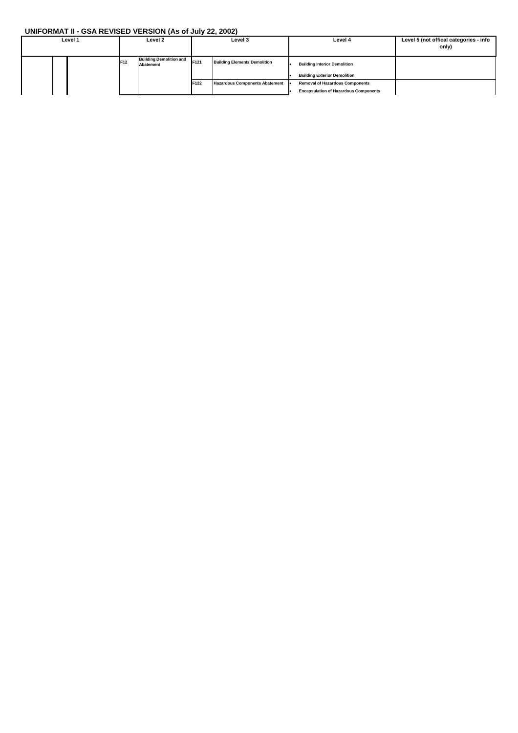|         | ----------- |                 |                                |      |                                       |  |                                              |                                        |  |  |  |  |
|---------|-------------|-----------------|--------------------------------|------|---------------------------------------|--|----------------------------------------------|----------------------------------------|--|--|--|--|
| Level 1 |             |                 | Level 2                        |      | Level 3                               |  | Level 4                                      | Level 5 (not offical categories - info |  |  |  |  |
|         |             |                 |                                |      |                                       |  |                                              | only)                                  |  |  |  |  |
|         |             |                 |                                |      |                                       |  |                                              |                                        |  |  |  |  |
|         |             | F <sub>12</sub> | <b>Building Demolition and</b> | F121 | <b>Building Elements Demolition</b>   |  | <b>Building Interior Demolition</b>          |                                        |  |  |  |  |
|         |             |                 | Abatement                      |      |                                       |  |                                              |                                        |  |  |  |  |
|         |             |                 |                                |      |                                       |  | <b>Building Exterior Demolition</b>          |                                        |  |  |  |  |
|         |             |                 |                                | F122 | <b>Hazardous Components Abatement</b> |  | <b>Removal of Hazardous Components</b>       |                                        |  |  |  |  |
|         |             |                 |                                |      |                                       |  | <b>Encapsulation of Hazardous Components</b> |                                        |  |  |  |  |
|         |             |                 |                                |      |                                       |  |                                              |                                        |  |  |  |  |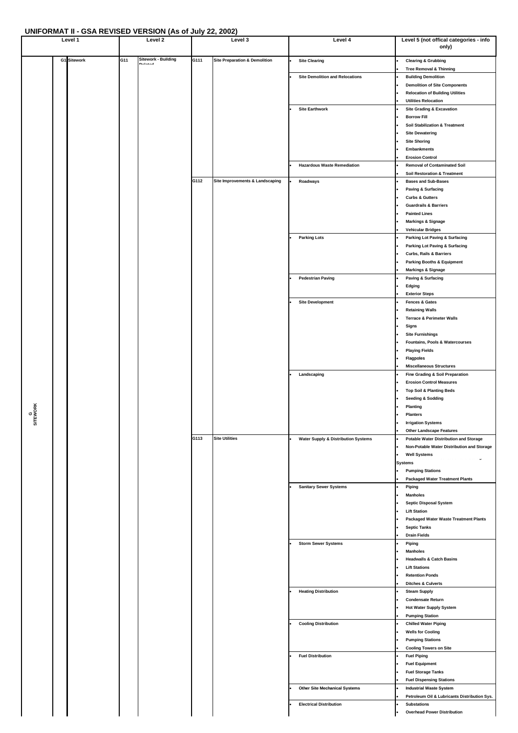|                      |  | Level 1     |     | Level 2             |      | Level 3                                  | Level 4                                        | Level 5 (not offical categories - info                                          |
|----------------------|--|-------------|-----|---------------------|------|------------------------------------------|------------------------------------------------|---------------------------------------------------------------------------------|
|                      |  |             |     |                     |      |                                          |                                                | only)                                                                           |
|                      |  | G1 Sitework | G11 | Sitework - Building | G111 | <b>Site Preparation &amp; Demolition</b> | <b>Site Clearing</b>                           | <b>Clearing &amp; Grubbing</b>                                                  |
|                      |  |             |     | <b>Dalatad</b>      |      |                                          |                                                |                                                                                 |
|                      |  |             |     |                     |      |                                          | <b>Site Demolition and Relocations</b>         | <b>Tree Removal &amp; Thinning</b><br><b>Building Demolition</b>                |
|                      |  |             |     |                     |      |                                          |                                                |                                                                                 |
|                      |  |             |     |                     |      |                                          |                                                | <b>Demolition of Site Components</b><br><b>Relocation of Building Utilities</b> |
|                      |  |             |     |                     |      |                                          |                                                | <b>Utilities Relocation</b>                                                     |
|                      |  |             |     |                     |      |                                          | <b>Site Earthwork</b>                          | <b>Site Grading &amp; Excavation</b>                                            |
|                      |  |             |     |                     |      |                                          |                                                | <b>Borrow Fill</b>                                                              |
|                      |  |             |     |                     |      |                                          |                                                | <b>Soil Stabilization &amp; Treatment</b>                                       |
|                      |  |             |     |                     |      |                                          |                                                | <b>Site Dewatering</b>                                                          |
|                      |  |             |     |                     |      |                                          |                                                | <b>Site Shoring</b>                                                             |
|                      |  |             |     |                     |      |                                          |                                                | <b>Embankments</b>                                                              |
|                      |  |             |     |                     |      |                                          |                                                | <b>Erosion Control</b>                                                          |
|                      |  |             |     |                     |      |                                          | <b>Hazardous Waste Remediation</b>             | <b>Removal of Contaminated Soil</b>                                             |
|                      |  |             |     |                     |      |                                          |                                                | <b>Soil Restoration &amp; Treatment</b>                                         |
|                      |  |             |     |                     | G112 | Site Improvements & Landscaping          | Roadways                                       | <b>Bases and Sub-Bases</b>                                                      |
|                      |  |             |     |                     |      |                                          |                                                | <b>Paving &amp; Surfacing</b>                                                   |
|                      |  |             |     |                     |      |                                          |                                                | <b>Curbs &amp; Gutters</b>                                                      |
|                      |  |             |     |                     |      |                                          |                                                | <b>Guardrails &amp; Barriers</b>                                                |
|                      |  |             |     |                     |      |                                          |                                                | <b>Painted Lines</b>                                                            |
|                      |  |             |     |                     |      |                                          |                                                | <b>Markings &amp; Signage</b>                                                   |
|                      |  |             |     |                     |      |                                          |                                                | <b>Vehicular Bridges</b>                                                        |
|                      |  |             |     |                     |      |                                          | <b>Parking Lots</b>                            | <b>Parking Lot Paving &amp; Surfacing</b>                                       |
|                      |  |             |     |                     |      |                                          |                                                | <b>Parking Lot Paving &amp; Surfacing</b>                                       |
|                      |  |             |     |                     |      |                                          |                                                | <b>Curbs, Rails &amp; Barriers</b>                                              |
|                      |  |             |     |                     |      |                                          |                                                | <b>Parking Booths &amp; Equipment</b>                                           |
|                      |  |             |     |                     |      |                                          |                                                | <b>Markings &amp; Signage</b>                                                   |
|                      |  |             |     |                     |      |                                          | <b>Pedestrian Paving</b>                       | <b>Paving &amp; Surfacing</b>                                                   |
|                      |  |             |     |                     |      |                                          |                                                | Edging                                                                          |
|                      |  |             |     |                     |      |                                          |                                                | <b>Exterior Steps</b>                                                           |
|                      |  |             |     |                     |      |                                          | <b>Site Development</b>                        | <b>Fences &amp; Gates</b>                                                       |
|                      |  |             |     |                     |      |                                          |                                                | <b>Retaining Walls</b>                                                          |
|                      |  |             |     |                     |      |                                          |                                                | <b>Terrace &amp; Perimeter Walls</b>                                            |
|                      |  |             |     |                     |      |                                          |                                                | <b>Signs</b>                                                                    |
|                      |  |             |     |                     |      |                                          |                                                | <b>Site Furnishings</b>                                                         |
|                      |  |             |     |                     |      |                                          |                                                | Fountains, Pools & Watercourses                                                 |
|                      |  |             |     |                     |      |                                          |                                                | <b>Playing Fields</b>                                                           |
|                      |  |             |     |                     |      |                                          |                                                | <b>Flagpoles</b>                                                                |
|                      |  |             |     |                     |      |                                          |                                                | <b>Miscellaneous Structures</b>                                                 |
|                      |  |             |     |                     |      |                                          | Landscaping                                    | Fine Grading & Soil Preparation                                                 |
|                      |  |             |     |                     |      |                                          |                                                | <b>Erosion Control Measures</b>                                                 |
|                      |  |             |     |                     |      |                                          |                                                | <b>Top Soil &amp; Planting Beds</b>                                             |
|                      |  |             |     |                     |      |                                          |                                                | <b>Seeding &amp; Sodding</b>                                                    |
|                      |  |             |     |                     |      |                                          |                                                | Planting                                                                        |
|                      |  |             |     |                     |      |                                          |                                                | <b>Planters</b>                                                                 |
| <b>G</b><br>SITEWORK |  |             |     |                     |      |                                          |                                                | <b>Irrigation Systems</b>                                                       |
|                      |  |             |     |                     |      |                                          |                                                | <b>Other Landscape Features</b>                                                 |
|                      |  |             |     |                     | G113 | <b>Site Utilities</b>                    | <b>Water Supply &amp; Distribution Systems</b> | Potable Water Distribution and Storage                                          |
|                      |  |             |     |                     |      |                                          |                                                | Non-Potable Water Distribution and Storage                                      |
|                      |  |             |     |                     |      |                                          |                                                | <b>Well Systems</b>                                                             |
|                      |  |             |     |                     |      |                                          |                                                | Systems                                                                         |
|                      |  |             |     |                     |      |                                          |                                                | <b>Pumping Stations</b>                                                         |
|                      |  |             |     |                     |      |                                          |                                                | <b>Packaged Water Treatment Plants</b>                                          |
|                      |  |             |     |                     |      |                                          | <b>Sanitary Sewer Systems</b>                  | Piping                                                                          |
|                      |  |             |     |                     |      |                                          |                                                | <b>Manholes</b>                                                                 |
|                      |  |             |     |                     |      |                                          |                                                | Septic Disposal System                                                          |
|                      |  |             |     |                     |      |                                          |                                                | <b>Lift Station</b>                                                             |
|                      |  |             |     |                     |      |                                          |                                                | Packaged Water Waste Treatment Plants                                           |
|                      |  |             |     |                     |      |                                          |                                                | <b>Septic Tanks</b>                                                             |
|                      |  |             |     |                     |      |                                          |                                                | <b>Drain Fields</b>                                                             |
|                      |  |             |     |                     |      |                                          | <b>Storm Sewer Systems</b>                     | Piping                                                                          |
|                      |  |             |     |                     |      |                                          |                                                | <b>Manholes</b>                                                                 |
|                      |  |             |     |                     |      |                                          |                                                | <b>Headwalls &amp; Catch Basins</b>                                             |
|                      |  |             |     |                     |      |                                          |                                                | <b>Lift Stations</b>                                                            |
|                      |  |             |     |                     |      |                                          |                                                | <b>Retention Ponds</b>                                                          |
|                      |  |             |     |                     |      |                                          |                                                | <b>Ditches &amp; Culverts</b>                                                   |
|                      |  |             |     |                     |      |                                          | <b>Heating Distribution</b>                    | <b>Steam Supply</b>                                                             |
|                      |  |             |     |                     |      |                                          |                                                | <b>Condensate Return</b>                                                        |
|                      |  |             |     |                     |      |                                          |                                                | <b>Hot Water Supply System</b>                                                  |
|                      |  |             |     |                     |      |                                          |                                                | <b>Pumping Station</b>                                                          |
|                      |  |             |     |                     |      |                                          | <b>Cooling Distribution</b>                    | <b>Chilled Water Piping</b>                                                     |
|                      |  |             |     |                     |      |                                          |                                                | <b>Wells for Cooling</b>                                                        |
|                      |  |             |     |                     |      |                                          |                                                | <b>Pumping Stations</b>                                                         |
|                      |  |             |     |                     |      |                                          |                                                | <b>Cooling Towers on Site</b>                                                   |
|                      |  |             |     |                     |      |                                          | <b>Fuel Distribution</b>                       | <b>Fuel Piping</b>                                                              |
|                      |  |             |     |                     |      |                                          |                                                | <b>Fuel Equipment</b>                                                           |
|                      |  |             |     |                     |      |                                          |                                                | <b>Fuel Storage Tanks</b>                                                       |
|                      |  |             |     |                     |      |                                          |                                                | <b>Fuel Dispensing Stations</b>                                                 |
|                      |  |             |     |                     |      |                                          | Other Site Mechanical Systems                  | <b>Industrial Waste System</b>                                                  |
|                      |  |             |     |                     |      |                                          |                                                | Petroleum Oil & Lubricants Distribution Sys.                                    |
|                      |  |             |     |                     |      |                                          | <b>Electrical Distribution</b>                 | <b>Substations</b>                                                              |
|                      |  |             |     |                     |      |                                          |                                                | <b>Overhead Power Distribution</b>                                              |